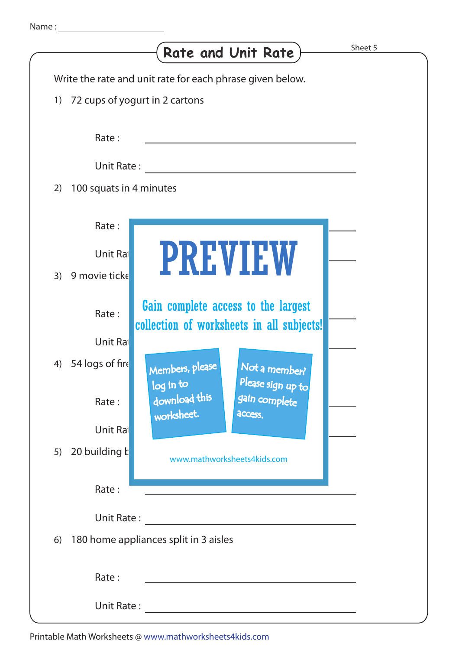| Sheet 5<br>Rate and Unit Rate                                                               |  |
|---------------------------------------------------------------------------------------------|--|
| Write the rate and unit rate for each phrase given below.                                   |  |
| 72 cups of yogurt in 2 cartons<br>1)                                                        |  |
| Rate:                                                                                       |  |
| Unit Rate:                                                                                  |  |
| 100 squats in 4 minutes<br>2)                                                               |  |
| Rate:                                                                                       |  |
| <b>PREVIEW</b><br>Unit Ra                                                                   |  |
| 9 movie ticke<br>3)                                                                         |  |
| Gain complete access to the largest<br>Rate:<br>collection of worksheets in all subjects!   |  |
| Unit Ra                                                                                     |  |
| 54 logs of fire<br>4)<br>Members, please<br>Not a member?<br>Please sign up to<br>log in to |  |
| download this<br>gain complete<br>Rate:<br>worksheet.<br>access.                            |  |
| Unit Ra                                                                                     |  |
| 20 building k<br>5)<br>www.mathworksheets4kids.com                                          |  |
| Rate:                                                                                       |  |
| Unit Rate:                                                                                  |  |
| 180 home appliances split in 3 aisles<br>6)                                                 |  |
| Rate:                                                                                       |  |
| <b>Unit Rate:</b>                                                                           |  |